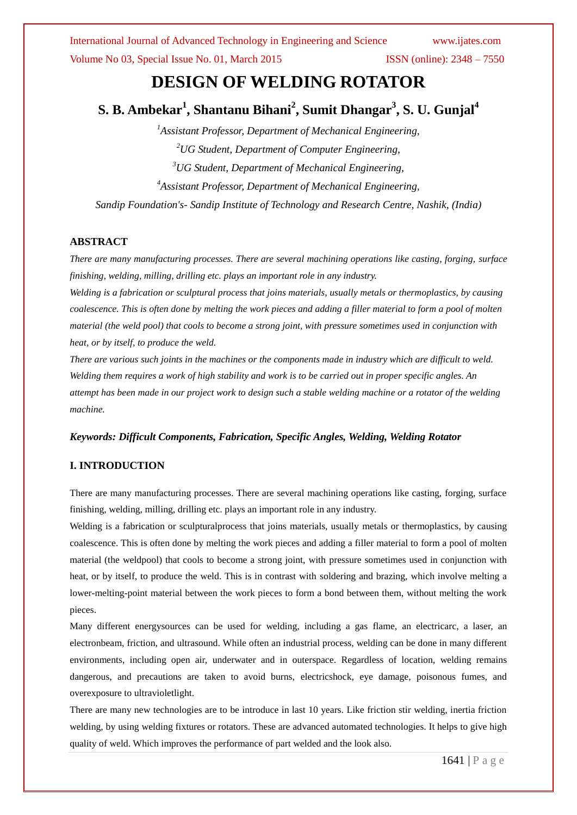# **DESIGN OF WELDING ROTATOR**

**S. B. Ambekar<sup>1</sup> , Shantanu Bihani<sup>2</sup> , Sumit Dhangar<sup>3</sup> , S. U. Gunjal<sup>4</sup>**

*Assistant Professor, Department of Mechanical Engineering, UG Student, Department of Computer Engineering, UG Student, Department of Mechanical Engineering, Assistant Professor, Department of Mechanical Engineering, Sandip Foundation's- Sandip Institute of Technology and Research Centre, Nashik, (India)*

# **ABSTRACT**

*There are many manufacturing processes. There are several machining operations like casting, forging, surface finishing, welding, milling, drilling etc. plays an important role in any industry.*

*Welding is a fabrication or sculptural process that joins materials, usually metals or thermoplastics, by causing coalescence. This is often done by melting the work pieces and adding a filler material to form a pool of molten material (the weld pool) that cools to become a strong joint, with pressure sometimes used in conjunction with heat, or by itself, to produce the weld.*

*There are various such joints in the machines or the components made in industry which are difficult to weld. Welding them requires a work of high stability and work is to be carried out in proper specific angles. An attempt has been made in our project work to design such a stable welding machine or a rotator of the welding machine.*

# *Keywords: Difficult Components, Fabrication, Specific Angles, Welding, Welding Rotator*

# **I. INTRODUCTION**

There are many manufacturing processes. There are several machining operations like casting, forging, surface finishing, welding, milling, drilling etc. plays an important role in any industry.

Welding is a fabrication or sculptural process that joins materials, usually metals or thermoplastics, by causing coalescence. This is often done by melting the work pieces and adding a filler material to form a pool of molten material (the weldpool) that cools to become a strong joint, with pressure sometimes used in conjunction with heat, or by itself, to produce the weld. This is in contrast with soldering and brazing, which involve melting a lower-melting-point material between the work pieces to form a bond between them, without melting the work pieces.

Many different energysources can be used for welding, including a gas flame, an electricarc, a laser, an electronbeam, friction, and ultrasound. While often an industrial process, welding can be done in many different environments, including open air, underwater and in outerspace. Regardless of location, welding remains dangerous, and precautions are taken to avoid burns, electricshock, eye damage, poisonous fumes, and overexposure to ultravioletlight.

There are many new technologies are to be introduce in last 10 years. Like friction stir welding, inertia friction welding, by using welding fixtures or rotators. These are advanced automated technologies. It helps to give high quality of weld. Which improves the performance of part welded and the look also.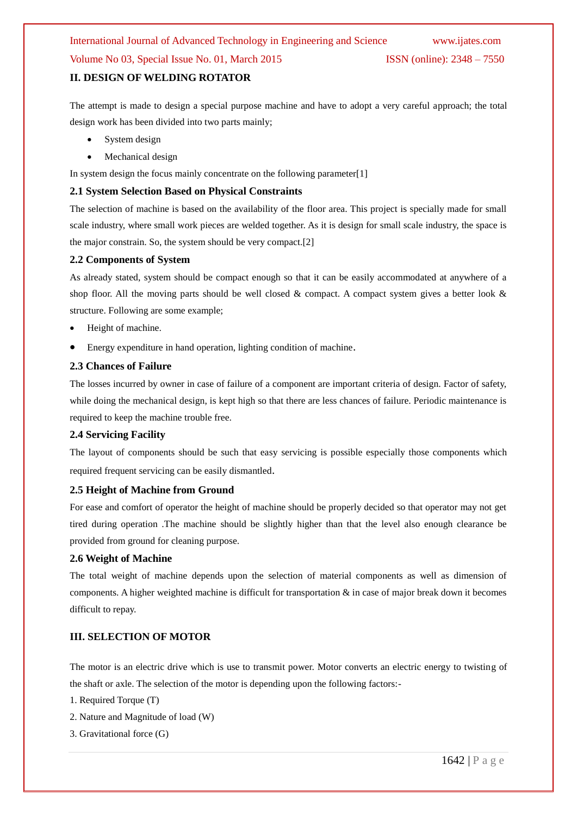# Volume No 03, Special Issue No. 01, March 2015 ISSN (online): 2348 – 7550

# **II. DESIGN OF WELDING ROTATOR**

The attempt is made to design a special purpose machine and have to adopt a very careful approach; the total design work has been divided into two parts mainly;

- System design
- Mechanical design

In system design the focus mainly concentrate on the following parameter[1]

## **2.1 System Selection Based on Physical Constraints**

The selection of machine is based on the availability of the floor area. This project is specially made for small scale industry, where small work pieces are welded together. As it is design for small scale industry, the space is the major constrain. So, the system should be very compact.[2]

## **2.2 Components of System**

As already stated, system should be compact enough so that it can be easily accommodated at anywhere of a shop floor. All the moving parts should be well closed & compact. A compact system gives a better look  $\&$ structure. Following are some example;

- Height of machine.
- Energy expenditure in hand operation, lighting condition of machine.

## **2.3 Chances of Failure**

The losses incurred by owner in case of failure of a component are important criteria of design. Factor of safety, while doing the mechanical design, is kept high so that there are less chances of failure. Periodic maintenance is required to keep the machine trouble free.

#### **2.4 Servicing Facility**

The layout of components should be such that easy servicing is possible especially those components which required frequent servicing can be easily dismantled.

#### **2.5 Height of Machine from Ground**

For ease and comfort of operator the height of machine should be properly decided so that operator may not get tired during operation .The machine should be slightly higher than that the level also enough clearance be provided from ground for cleaning purpose.

# **2.6 Weight of Machine**

The total weight of machine depends upon the selection of material components as well as dimension of components. A higher weighted machine is difficult for transportation & in case of major break down it becomes difficult to repay.

# **III. SELECTION OF MOTOR**

The motor is an electric drive which is use to transmit power. Motor converts an electric energy to twisting of the shaft or axle. The selection of the motor is depending upon the following factors:-

1. Required Torque (T)

- 2. Nature and Magnitude of load (W)
- 3. Gravitational force (G)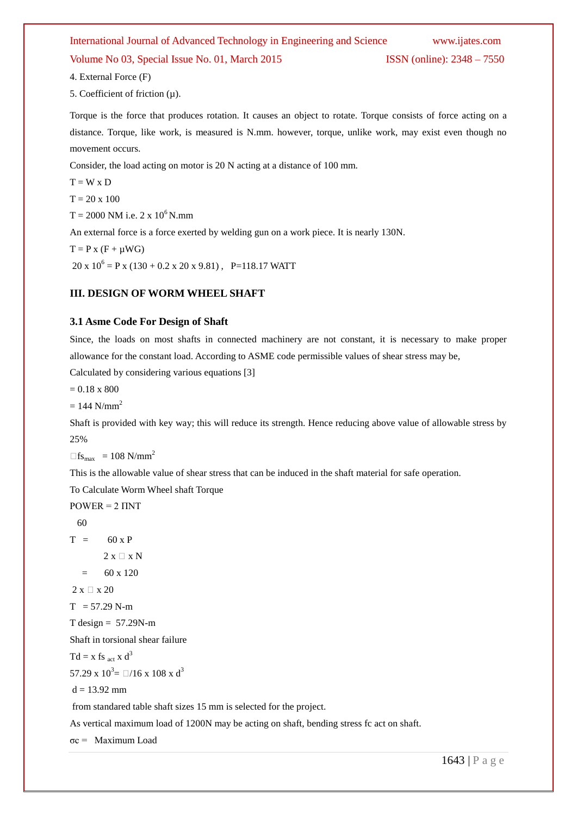# International Journal of Advanced Technology in Engineering and Science www.ijates.com Volume No 03, Special Issue No. 01, March 2015 **ISSN** (online): 2348 – 7550

4. External Force (F)

5. Coefficient of friction  $(\mu)$ .

Torque is the force that produces rotation. It causes an object to rotate. Torque consists of force acting on a distance. Torque, like work, is measured is N.mm. however, torque, unlike work, may exist even though no movement occurs.

Consider, the load acting on motor is 20 N acting at a distance of 100 mm.

 $T = W \times D$ 

 $T = 20 \times 100$ 

 $T = 2000$  NM i.e. 2 x  $10^6$  N.mm

An external force is a force exerted by welding gun on a work piece. It is nearly 130N.

 $T = P x (F + \mu W G)$ 

 $20 \times 10^6 = P \times (130 + 0.2 \times 20 \times 9.81)$ , P=118.17 WATT

# **III. DESIGN OF WORM WHEEL SHAFT**

## **3.1 Asme Code For Design of Shaft**

Since, the loads on most shafts in connected machinery are not constant, it is necessary to make proper allowance for the constant load. According to ASME code permissible values of shear stress may be,

Calculated by considering various equations [3]

 $= 0.18 \times 800$ 

 $= 144$  N/mm<sup>2</sup>

Shaft is provided with key way; this will reduce its strength. Hence reducing above value of allowable stress by 25%

 $\Box$ fs<sub>max</sub> = 108 N/mm<sup>2</sup>

This is the allowable value of shear stress that can be induced in the shaft material for safe operation.

To Calculate Worm Wheel shaft Torque

 $POWER = 2 INT$ 

 60  $T = 60 \times P$  $2 x \Box x N$  $=$  60 x 120  $2 x \Box x 20$  $T = 57.29$  N-m  $T$  design = 57.29N-m Shaft in torsional shear failure  $Td = x$  fs <sub>act</sub> x d<sup>3</sup> 57.29 x  $10^3$  =  $\Box/16$  x  $108$  x  $d^3$  $d = 13.92$  mm from standared table shaft sizes 15 mm is selected for the project. As vertical maximum load of 1200N may be acting on shaft, bending stress fc act on shaft.

σc = Maximum Load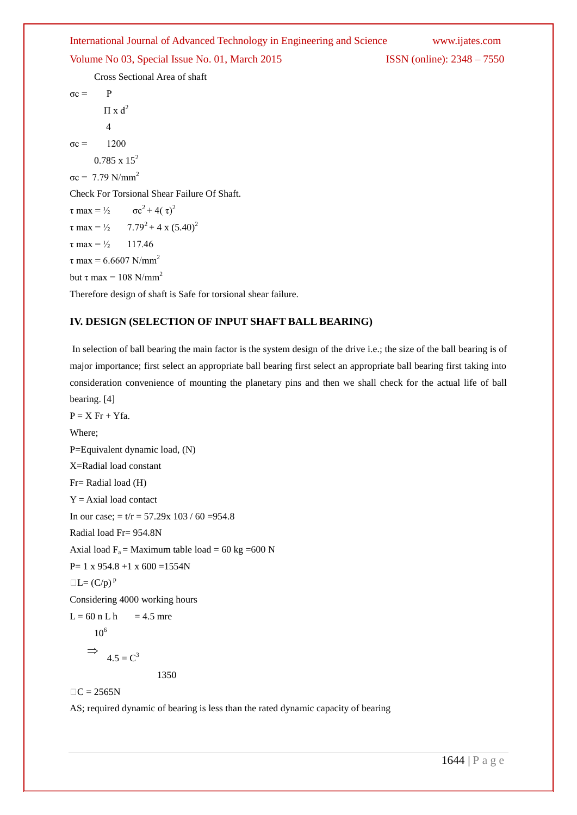Volume No 03, Special Issue No. 01, March 2015 **ISSN** (online): 2348 – 7550

Cross Sectional Area of shaft

 $σc = P$  $\Pi$  x d<sup>2</sup> 4  $σc = 1200$  $0.785 \times 15^2$  $σc = 7.79$  N/mm<sup>2</sup> Check For Torsional Shear Failure Of Shaft.  $\tau$  max =  $\frac{1}{2}$   $\sigma c^2 + 4(\tau)^2$  $\tau$  max =  $\frac{1}{2}$  7.79<sup>2</sup> + 4 x (5.40)<sup>2</sup>  $\tau$  max =  $\frac{1}{2}$  117.46  $τ$  max = 6.6607 N/mm<sup>2</sup> but τ max = 108 N/mm<sup>2</sup> Therefore design of shaft is Safe for torsional shear failure.

# **IV. DESIGN (SELECTION OF INPUT SHAFT BALL BEARING)**

In selection of ball bearing the main factor is the system design of the drive i.e.; the size of the ball bearing is of major importance; first select an appropriate ball bearing first select an appropriate ball bearing first taking into consideration convenience of mounting the planetary pins and then we shall check for the actual life of ball bearing. [4]

 $P = X Fr + Yfa$ . Where; P=Equivalent dynamic load, (N) X=Radial load constant Fr= Radial load (H)  $Y = Axial load contact$ In our case;  $= t/r = 57.29x 103 / 60 = 954.8$ Radial load Fr= 954.8N Axial load  $F_a$  = Maximum table load = 60 kg = 600 N  $P= 1 \times 954.8 + 1 \times 600 = 1554N$  $\Box L=(C/p)^p$ Considering 4000 working hours  $L = 60$  n L h = 4.5 mre  $10^6$  $\Rightarrow$  $4.5 = C^3$ 

1350

 $\Box C = 2565N$ 

AS; required dynamic of bearing is less than the rated dynamic capacity of bearing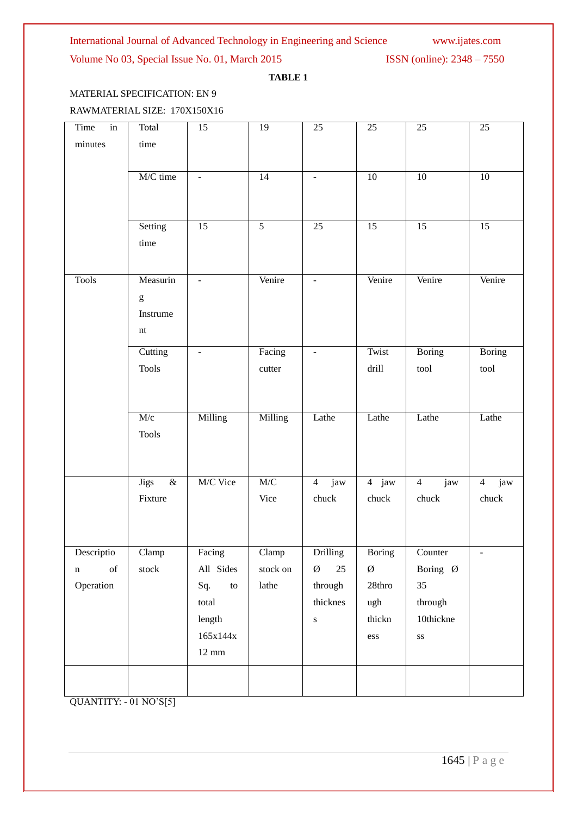Volume No 03, Special Issue No. 01, March 2015 **ISSN** (online): 2348 – 7550

# **TABLE 1**

# MATERIAL SPECIFICATION: EN 9

# RAWMATERIAL SIZE: 170X150X16

| $\overline{\text{in}}$<br>Time                                                                                    | Total                                                                                                                                                                                                                                                                                                                                                                                                                          | 15                       | $\overline{19}$           | 25                       | 25                    | 25                     | 25                    |
|-------------------------------------------------------------------------------------------------------------------|--------------------------------------------------------------------------------------------------------------------------------------------------------------------------------------------------------------------------------------------------------------------------------------------------------------------------------------------------------------------------------------------------------------------------------|--------------------------|---------------------------|--------------------------|-----------------------|------------------------|-----------------------|
| minutes                                                                                                           | time                                                                                                                                                                                                                                                                                                                                                                                                                           |                          |                           |                          |                       |                        |                       |
|                                                                                                                   |                                                                                                                                                                                                                                                                                                                                                                                                                                |                          |                           |                          |                       |                        |                       |
|                                                                                                                   | M/C time                                                                                                                                                                                                                                                                                                                                                                                                                       | $\equiv$                 | 14                        | $\overline{\phantom{a}}$ | $\overline{10}$       | 10                     | $10\,$                |
|                                                                                                                   |                                                                                                                                                                                                                                                                                                                                                                                                                                |                          |                           |                          |                       |                        |                       |
|                                                                                                                   |                                                                                                                                                                                                                                                                                                                                                                                                                                |                          |                           |                          |                       |                        |                       |
|                                                                                                                   | Setting                                                                                                                                                                                                                                                                                                                                                                                                                        | 15                       | $\overline{5}$            | 25                       | 15                    | 15                     | 15                    |
|                                                                                                                   | time                                                                                                                                                                                                                                                                                                                                                                                                                           |                          |                           |                          |                       |                        |                       |
|                                                                                                                   |                                                                                                                                                                                                                                                                                                                                                                                                                                |                          |                           |                          |                       |                        |                       |
|                                                                                                                   |                                                                                                                                                                                                                                                                                                                                                                                                                                |                          |                           |                          |                       |                        |                       |
| <b>Tools</b>                                                                                                      | Measurin                                                                                                                                                                                                                                                                                                                                                                                                                       | $\overline{\phantom{a}}$ | Venire                    | $\blacksquare$           | Venire                | Venire                 | Venire                |
|                                                                                                                   | $\mathbf{g}% _{T}=\mathbf{g}_{T}=\mathbf{g}_{T}=\mathbf{g}_{T}=\mathbf{g}_{T}=\mathbf{g}_{T}=\mathbf{g}_{T}=\mathbf{g}_{T}=\mathbf{g}_{T}=\mathbf{g}_{T}=\mathbf{g}_{T}=\mathbf{g}_{T}=\mathbf{g}_{T}=\mathbf{g}_{T}=\mathbf{g}_{T}=\mathbf{g}_{T}=\mathbf{g}_{T}=\mathbf{g}_{T}=\mathbf{g}_{T}=\mathbf{g}_{T}=\mathbf{g}_{T}=\mathbf{g}_{T}=\mathbf{g}_{T}=\mathbf{g}_{T}=\mathbf{g}_{T}=\mathbf{g}_{T}=\mathbf{g}_{T}=\math$ |                          |                           |                          |                       |                        |                       |
|                                                                                                                   | Instrume                                                                                                                                                                                                                                                                                                                                                                                                                       |                          |                           |                          |                       |                        |                       |
|                                                                                                                   | $\mathop{\hbox{\rm nt}}$                                                                                                                                                                                                                                                                                                                                                                                                       |                          |                           |                          |                       |                        |                       |
|                                                                                                                   | Cutting                                                                                                                                                                                                                                                                                                                                                                                                                        | $\Box$                   | Facing                    | $\overline{\phantom{a}}$ | Twist                 | <b>Boring</b>          | <b>Boring</b>         |
|                                                                                                                   | <b>Tools</b>                                                                                                                                                                                                                                                                                                                                                                                                                   |                          | cutter                    |                          | drill                 | tool                   | tool                  |
|                                                                                                                   |                                                                                                                                                                                                                                                                                                                                                                                                                                |                          |                           |                          |                       |                        |                       |
|                                                                                                                   |                                                                                                                                                                                                                                                                                                                                                                                                                                |                          |                           |                          |                       |                        |                       |
|                                                                                                                   |                                                                                                                                                                                                                                                                                                                                                                                                                                |                          |                           |                          |                       |                        |                       |
|                                                                                                                   | M/c                                                                                                                                                                                                                                                                                                                                                                                                                            | Milling                  | Milling                   | Lathe                    | Lathe                 | Lathe                  | Lathe                 |
|                                                                                                                   | <b>Tools</b>                                                                                                                                                                                                                                                                                                                                                                                                                   |                          |                           |                          |                       |                        |                       |
|                                                                                                                   |                                                                                                                                                                                                                                                                                                                                                                                                                                |                          |                           |                          |                       |                        |                       |
|                                                                                                                   |                                                                                                                                                                                                                                                                                                                                                                                                                                |                          |                           |                          |                       |                        |                       |
|                                                                                                                   | $\&$<br><b>Jigs</b>                                                                                                                                                                                                                                                                                                                                                                                                            | M/C Vice                 | M/C                       | $\overline{4}$<br>jaw    | $\overline{4}$<br>jaw | $\overline{4}$<br>jaw  | jaw<br>$\overline{4}$ |
|                                                                                                                   | Fixture                                                                                                                                                                                                                                                                                                                                                                                                                        |                          | Vice                      | chuck                    | chuck                 | chuck                  | chuck                 |
|                                                                                                                   |                                                                                                                                                                                                                                                                                                                                                                                                                                |                          |                           |                          |                       |                        |                       |
|                                                                                                                   |                                                                                                                                                                                                                                                                                                                                                                                                                                |                          |                           |                          |                       |                        |                       |
| Descriptio                                                                                                        | $\overline{\text{Clamp}}$                                                                                                                                                                                                                                                                                                                                                                                                      | Facing                   | $\overline{\text{Clamp}}$ | Drilling                 | Boring                | Counter                | $\blacksquare$        |
| $% \left( \left( \mathcal{A},\mathcal{A}\right) \right) =\left( \mathcal{A},\mathcal{A}\right)$ of<br>$\mathbf n$ | stock                                                                                                                                                                                                                                                                                                                                                                                                                          | All Sides                | stock on                  | $25\,$<br>Ø              | Ø                     | Boring Ø               |                       |
| Operation                                                                                                         |                                                                                                                                                                                                                                                                                                                                                                                                                                | Sq.<br>$\,$ to $\,$      | lathe                     | through                  | $28$ thro             | 35                     |                       |
|                                                                                                                   |                                                                                                                                                                                                                                                                                                                                                                                                                                |                          |                           | thicknes                 |                       |                        |                       |
|                                                                                                                   |                                                                                                                                                                                                                                                                                                                                                                                                                                | total                    |                           |                          | ugh                   | through                |                       |
|                                                                                                                   |                                                                                                                                                                                                                                                                                                                                                                                                                                | length                   |                           | ${\bf S}$                | thickn                | 10thickne              |                       |
|                                                                                                                   |                                                                                                                                                                                                                                                                                                                                                                                                                                | $165x144x$               |                           |                          | ess                   | $\mathbf{S}\mathbf{S}$ |                       |
|                                                                                                                   |                                                                                                                                                                                                                                                                                                                                                                                                                                | $12~\mathrm{mm}$         |                           |                          |                       |                        |                       |
|                                                                                                                   |                                                                                                                                                                                                                                                                                                                                                                                                                                |                          |                           |                          |                       |                        |                       |
|                                                                                                                   |                                                                                                                                                                                                                                                                                                                                                                                                                                |                          |                           |                          |                       |                        |                       |

QUANTITY: - 01 NO'S[5]

1645 | P a g e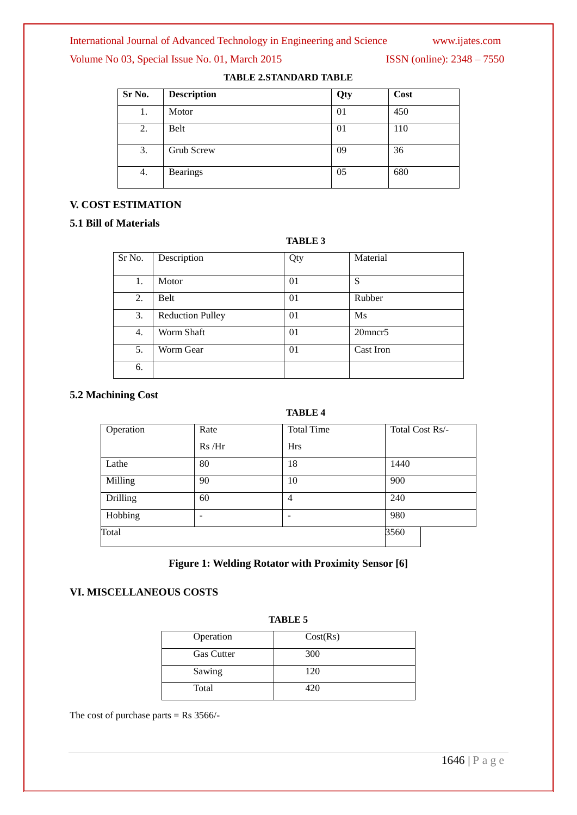# Volume No 03, Special Issue No. 01, March 2015 **ISSN** (online): 2348 – 7550

| Sr No. | <b>Description</b> | Qty | Cost |
|--------|--------------------|-----|------|
| 1.     | Motor              | 01  | 450  |
| 2.     | Belt               | 01  | 110  |
| 3.     | Grub Screw         | 09  | 36   |
| 4.     | <b>Bearings</b>    | 05  | 680  |

**TABLE 2.STANDARD TABLE**

# **V. COST ESTIMATION**

# **5.1 Bill of Materials**

|        |                         | <b>TABLE 3</b> |           |
|--------|-------------------------|----------------|-----------|
| Sr No. | Description             | Qty            | Material  |
| 1.     | Motor                   | 01             | S         |
| 2.     | Belt                    | 01             | Rubber    |
| 3.     | <b>Reduction Pulley</b> | 01             | Ms        |
| 4.     | Worm Shaft              | 01             | 20mncr5   |
| 5.     | Worm Gear               | 01             | Cast Iron |
| 6.     |                         |                |           |

# **5.2 Machining Cost**

# **TABLE 4**

| Operation | Rate  | <b>Total Time</b> | Total Cost Rs/- |
|-----------|-------|-------------------|-----------------|
|           | Rs/Hr | <b>Hrs</b>        |                 |
| Lathe     | 80    | 18                | 1440            |
| Milling   | 90    | 10                | 900             |
| Drilling  | 60    | 4                 | 240             |
| Hobbing   | -     |                   | 980             |
| Total     |       |                   | 3560            |

# **Figure 1: Welding Rotator with Proximity Sensor [6]**

# **VI. MISCELLANEOUS COSTS**

| Operation         | Cost(Rs) |  |
|-------------------|----------|--|
|                   |          |  |
| <b>Gas Cutter</b> | 300      |  |
|                   |          |  |
| Sawing            | 120      |  |
|                   |          |  |
| Total             | 420      |  |
|                   |          |  |

**TABLE 5**

The cost of purchase parts  $=$  Rs 3566/-